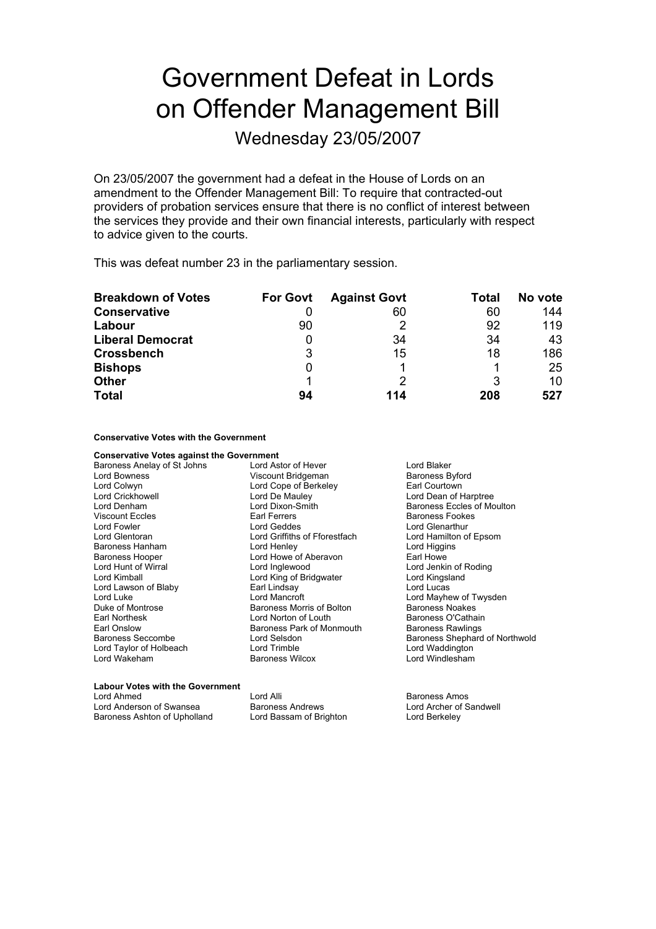## Government Defeat in Lords on Offender Management Bill

Wednesday 23/05/2007

On 23/05/2007 the government had a defeat in the House of Lords on an amendment to the Offender Management Bill: To require that contracted-out providers of probation services ensure that there is no conflict of interest between the services they provide and their own financial interests, particularly with respect to advice given to the courts.

This was defeat number 23 in the parliamentary session.

| <b>Breakdown of Votes</b> | <b>For Govt</b> | <b>Against Govt</b> | Total | No vote |
|---------------------------|-----------------|---------------------|-------|---------|
| <b>Conservative</b>       |                 | 60                  | 60    | 144     |
| Labour                    | 90              |                     | 92    | 119     |
| <b>Liberal Democrat</b>   | 0               | 34                  | 34    | 43      |
| <b>Crossbench</b>         | 3               | 15                  | 18    | 186     |
| <b>Bishops</b>            | 0               |                     |       | 25      |
| <b>Other</b>              |                 |                     | 3     | 10      |
| <b>Total</b>              | 94              | 114                 | 208   | 527     |

**Conservative Votes with the Government**

**Conservative Votes against the Government**<br>Baroness Anelay of St Johns Lord Astor of Hever Baroness Anelay of St Johns **Lord Astor of Hever** Lord Blaker Lord Bowness **Sylon Community Sylon Community Sylon Community Sylon Community Sylon Baroness Byford** Lord Colwyn **Collect Lord Cope of Berkeley Farl Courtown**<br>
Lord Crickhowell **Lord De Mauley** Ford De Mauley **Reserves** Lord De Mauley<br>
Lord Dixon-Smith<br>
Baroness Eccles of Mo Lord Denham **Lord Dixon-Smith** Baroness Eccles of Moulton Viscount Eccles Earl Ferrers Baroness Fookes Lord Fowler **Communist Communist Communist Communist Communist Communist Communist Communist Communist Communist Communist Communist Communist Communist Communist Communist Communist Communist Communist Communist Communist** Lord Griffiths of Fforestfach<br>Lord Henley Baroness Hanham **Lord Henley** Lord Henley **Lord Higgins** Baroness Hooper Lord Howe of Aberavon Earl Howe Lord Jenkin of Roding<br>Lord Kingsland Lord Kimball Lord King of Bridgwater Lord Lawson of Blaby **Carl Lindsay** Carl Lindsay **Carl Lucas** Lord Lucas<br>
Lord Luke Carl Lord Mancroft Carl Lord May Lord May Lord May Lord May Lord May Lord May Lord May Lord May Lord May Lord May Lord May Lord May Lord M Lord Luke Lord Mancroft Lord Mancroft Lord Luke Lord Mayhew of Twysden<br>
Duke of Montrose Communication Baroness Morris of Bolton Baroness Noakes Baroness Morris of Bolton Earl Northesk **Lord Norton of Louth Baroness O'Cathain** Earl Onslow **Baroness Park of Monmouth** Baroness Rawlings<br>Baroness Seccombe **Baroness Lord Selsdon** Baroness Shephard Lord Selsdon **Baroness Shephard of Northwold**<br>
Lord Trimble **Lord Waddington** Lord Taylor of Holbeach Lord Wakeham Baroness Wilcox Lord Windlesham

| <b>Labour Votes with the Government</b> |                         |                  |  |  |
|-----------------------------------------|-------------------------|------------------|--|--|
| Lord Ahmed                              | I ord Alli              | Baroness Amos    |  |  |
| Lord Anderson of Swansea                | <b>Baroness Andrews</b> | Lord Archer of S |  |  |
| Baroness Ashton of Upholland            | Lord Bassam of Brighton | Lord Berkeley    |  |  |

er of Sandwell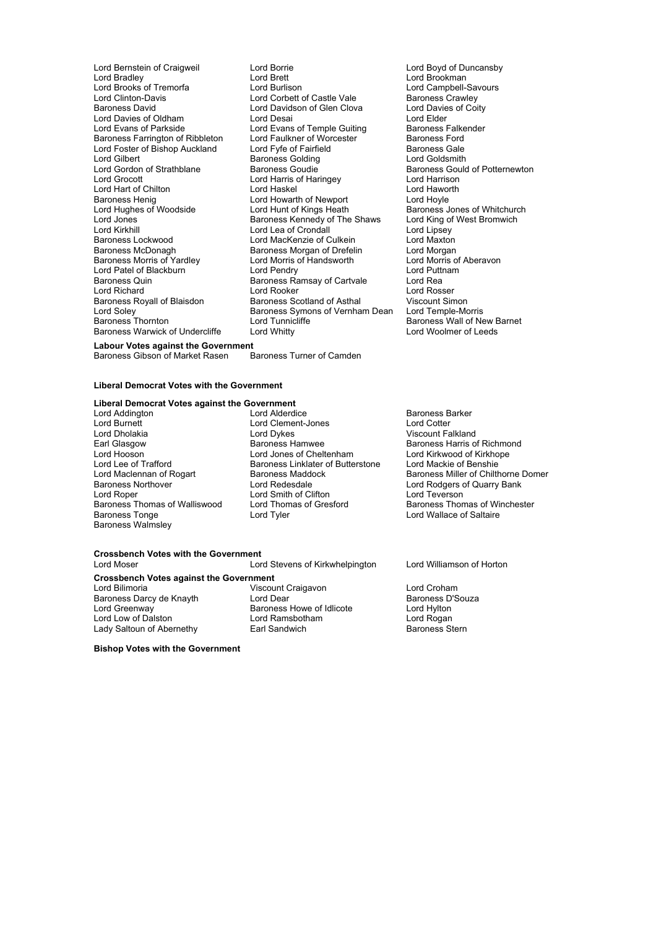Lord Gilbert Baroness Golding<br>
Lord Gordon of Strathblane Baroness Goudie Baroness Henig<br>
Lord Howarth of Newport<br>
Lord Hunt of Kings Heath<br>
Lord Hunt of Kings Heath Baroness Warwick of Undercliffe

Lord Bernstein of Craigweil Lord Borrie Lord Boyd of Duncansby است السلطانية (Lord Brookman<br>Lord Burlison السلطانية (Lord Campbell-Savours Lord Brooks of Tremorfa Lord Burlison Lord Campbell-Savours Lord Clinton-Davis Lord Corbett of Castle Vale Baroness Crawley<br>Baroness David Lord Davidson of Glen Clova Lord Davies of Coity Lord Davidson of Glen Clova Lord Davie<br>Lord Desai Lord Elder Lord Davies of Oldham Lord Desai Lord Desai Lord Elder Lord Elder<br>
Lord Evans of Parkside Lord Evans of Temple Guiting Baroness Falkender Lord Evans of Temple Guiting Baroness Falke<br>Lord Faulkner of Worcester Baroness Ford Baroness Farrington of Ribbleton Lord Faulkner of Worcester Baroness Ford<br>Lord Foster of Bishop Auckland Lord Fyfe of Fairfield Baroness Gale Lord Foster of Bishop Auckland Lord Fyfe of Fairfield Baroness Gale<br>
Lord Gilbert Coldsmith Baroness Golding Coldsmith Lord Gordon of Strathblane Baroness Goudie Baroness Gould of Potternewton<br>
Lord Grocott Lord Harris of Haringey Lord Harrison Lord Harris of Haringey Lord Harrison<br>
Lord Haskel Cord Haworth Lord Hart of Chilton **Lord Haskel Cord Haskel** Lord Have Lord Have Lord Have Lord Have Lord Hovle Lord Hovle Lord Hughes of Woodside Lord Hunt of Kings Heath Baroness Jones of Whitchurch<br>Lord Jones Lord Hunt Baroness Kennedy of The Shaws Lord King of West Bromwich Lord Jones Baroness Kennedy of The Shaws Lord King of West Bromwich Lord Kirkhill Lord Lord Lea of Crondall Lord Lord Lipsey<br>
Lord MacKenzie of Culkein Lord Maxton<br>
Lord Maxton Baroness Lockwood **Lord MacKenzie of Culkein** Lord Maxton<br>Baroness McDonagh **Baroness Morgan of Drefelin** Lord Morgan Baroness Morgan of Drefelin Lord Morgan<br>
Lord Morris of Handsworth Lord Morris of Aberavon Baroness Morris of Yardley Lord Morris of Handsworth Lord Morris of Lord Morris of Aberavon Lord Puttnam<br>Lord Patel of Blackburn Lord Pendry Lord Puttnam Lord Patel of Blackburn Lord Pendry Lord Putton Lord Putton Lord Putton Lord Putton Baroness Ramsay of Cartyale Lord Real Baroness Quin Baroness Ramsay of Cartvale Lord Rea<br>
Lord Richard Lord Lord Rosser<br>
Lord Rosser Lord Rosser Lord Richard **Lord Rooker** Lord Rooker Lord Rosser<br>
Baroness Rovall of Blaisdon Baroness Scotland of Asthal Viscount Simon Baroness Royall of Blaisdon Baroness Scotland of Asthal Viscount Simon<br>
Lord Soley Baroness Symons of Vernham Dean Lord Temple-Morris<br>
Baroness Thornton Lord Tunnicliffe Baroness Wall of Ne Baroness Symons of Vernham Dean Lord Tunnicliffe **Baroness Wall of New Barnet**<br>
Lord Whitty **Baroness Wall of New Barnet** 

## **Labour Votes against the Government** Baroness Gibson of Market Rasen

## **Liberal Democrat Votes with the Government**

## **Liberal Democrat Votes against the Government**<br> **Lord Addinaton**<br> **Lord Alderdice**

Baroness Walmsley

Lord Addington Lord Alderdice Baroness Barker Lord Burnett Lord Cleme t-Jones n Lord Cotter Lord Dholakia Lord Dykes Viscount Falkland Earl Glasgow **Baroness Hamwee** Baroness Hamis of Richmond<br>
Lord Hooson **Baroness Hammed Baroness Hammed Baroness Harris of Richmond**<br>
Lord Hooson Lord Hooson Lord Jones of Cheltenham Lord Kirkwood of Kirkhope Cheltenham Lord Lord Kirkhope Lord Mackie of Benshie Lord Lee of Trafford Baroness Linklater of Butterstone<br>
Lord Maclennan of Rogart Baroness Maddock Lord Roper Lord Smith of Clifton Lord Teverson<br>
Baroness Thomas of Walliswood Lord Thomas of Gresford Baroness Thom Baroness Thomas of Walliswood Lord Thomas of Gresford Baroness Thomas of Winchester<br>Baroness Tonge Saltaire Lord Tyler Cord Tyler Lord Wallace of Saltaire

Baroness Howe of Idlicote

Lord Maclennan of Rogart Baroness Maddock Baroness Miller of Chilthorne Domer<br>Baroness Northover **Baroness I Lord Redesdale** Baroness I ord Rodgers of Quarry Bank Lord Rodgers of Quarry Bank Lord Wallace of Saltaire

Lord Stevens of Kirkwhelpington Lord Williamson of Horton

Viscount Craigavon **Lord Croham**<br>
Lord Dear
Baroness D'Souza Baroness Darcy de Knayth Lord Dear Consumers Baroness D<br>
Lord Greenway Consumers Baroness Howe of Idlicote Cord Hylton Lord Low of Dalston **Lord Ramsbotham** Lord Rogan Lord Rogan

Lady Saltoun of Abernethy **Earl Sandwich** Baroness Stern

**Crossbench Votes with the Government**<br>Lord Moser

**Crossbench Votes against the Government**

**Bishop Votes with the Government**